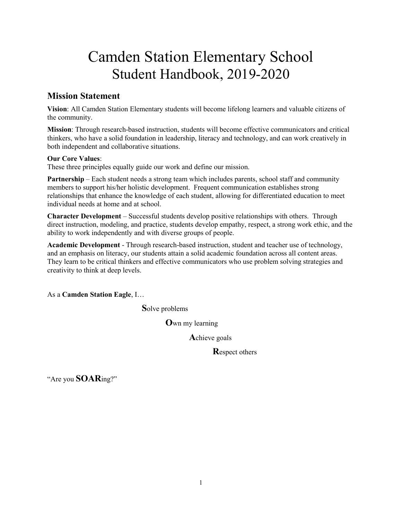# Camden Station Elementary School Student Handbook, 2019-2020

# **Mission Statement**

**Vision**: All Camden Station Elementary students will become lifelong learners and valuable citizens of the community.

**Mission**: Through research-based instruction, students will become effective communicators and critical thinkers, who have a solid foundation in leadership, literacy and technology, and can work creatively in both independent and collaborative situations.

# **Our Core Values**:

These three principles equally guide our work and define our mission.

**Partnership** – Each student needs a strong team which includes parents, school staff and community members to support his/her holistic development. Frequent communication establishes strong relationships that enhance the knowledge of each student, allowing for differentiated education to meet individual needs at home and at school.

**Character Development** – Successful students develop positive relationships with others. Through direct instruction, modeling, and practice, students develop empathy, respect, a strong work ethic, and the ability to work independently and with diverse groups of people.

**Academic Development** - Through research-based instruction, student and teacher use of technology, and an emphasis on literacy, our students attain a solid academic foundation across all content areas. They learn to be critical thinkers and effective communicators who use problem solving strategies and creativity to think at deep levels.

As a **Camden Station Eagle**, I…

**S**olve problems

**O**wn my learning

**A**chieve goals

**R**espect others

"Are you **SOAR**ing?"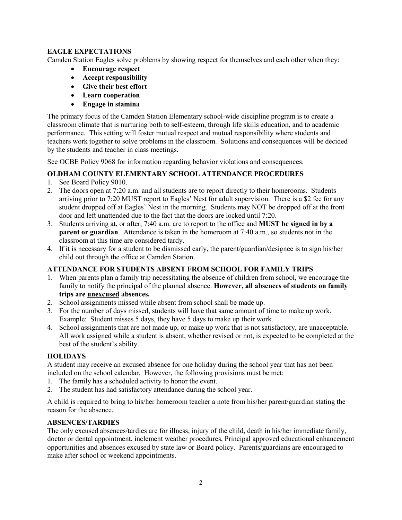# **EAGLE EXPECTATIONS**

Camden Station Eagles solve problems by showing respect for themselves and each other when they:

- **Encourage respect**
- **Accept responsibility**
- **Give their best effort**
- **Learn cooperation**
- **Engage in stamina**

The primary focus of the Camden Station Elementary school-wide discipline program is to create a classroom climate that is nurturing both to self-esteem, through life skills education, and to academic performance. This setting will foster mutual respect and mutual responsibility where students and teachers work together to solve problems in the classroom. Solutions and consequences will be decided by the students and teacher in class meetings.

See OCBE Policy 9068 for information regarding behavior violations and consequences.

# **OLDHAM COUNTY ELEMENTARY SCHOOL ATTENDANCE PROCEDURES**

- 1. See Board Policy 9010.
- 2. The doors open at 7:20 a.m. and all students are to report directly to their homerooms. Students arriving prior to 7:20 MUST report to Eagles' Nest for adult supervision. There is a \$2 fee for any student dropped off at Eagles' Nest in the morning. Students may NOT be dropped off at the front door and left unattended due to the fact that the doors are locked until 7:20.
- 3. Students arriving at, or after, 7:40 a.m. are to report to the office and **MUST be signed in by a parent or guardian**. Attendance is taken in the homeroom at 7:40 a.m., so students not in the classroom at this time are considered tardy.
- 4. If it is necessary for a student to be dismissed early, the parent/guardian/designee is to sign his/her child out through the office at Camden Station.

# **ATTENDANCE FOR STUDENTS ABSENT FROM SCHOOL FOR FAMILY TRIPS**

- 1. When parents plan a family trip necessitating the absence of children from school, we encourage the family to notify the principal of the planned absence. **However, all absences of students on family trips are unexcused absences.**
- 2. School assignments missed while absent from school shall be made up.
- 3. For the number of days missed, students will have that same amount of time to make up work. Example: Student misses 5 days, they have 5 days to make up their work.
- 4. School assignments that are not made up, or make up work that is not satisfactory, are unacceptable. All work assigned while a student is absent, whether revised or not, is expected to be completed at the best of the student's ability.

# **HOLIDAYS**

A student may receive an excused absence for one holiday during the school year that has not been included on the school calendar. However, the following provisions must be met:

- 1. The family has a scheduled activity to honor the event.
- 2. The student has had satisfactory attendance during the school year.

A child is required to bring to his/her homeroom teacher a note from his/her parent/guardian stating the reason for the absence.

# **ABSENCES/TARDIES**

The only excused absences/tardies are for illness, injury of the child, death in his/her immediate family, doctor or dental appointment, inclement weather procedures, Principal approved educational enhancement opportunities and absences excused by state law or Board policy. Parents/guardians are encouraged to make after school or weekend appointments.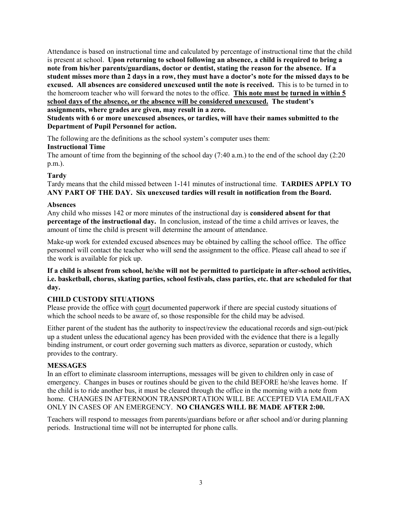Attendance is based on instructional time and calculated by percentage of instructional time that the child is present at school. **Upon returning to school following an absence, a child is required to bring a note from his/her parents/guardians, doctor or dentist, stating the reason for the absence. If a student misses more than 2 days in a row, they must have a doctor's note for the missed days to be excused. All absences are considered unexcused until the note is received.** This is to be turned in to the homeroom teacher who will forward the notes to the office. **This note must be turned in within 5 school days of the absence, or the absence will be considered unexcused. The student's assignments, where grades are given, may result in a zero.**

**Students with 6 or more unexcused absences, or tardies, will have their names submitted to the Department of Pupil Personnel for action.**

The following are the definitions as the school system's computer uses them: **Instructional Time**

The amount of time from the beginning of the school day (7:40 a.m.) to the end of the school day (2:20 p.m.).

# **Tardy**

Tardy means that the child missed between 1-141 minutes of instructional time. **TARDIES APPLY TO ANY PART OF THE DAY. Six unexcused tardies will result in notification from the Board.**

#### **Absences**

Any child who misses 142 or more minutes of the instructional day is **considered absent for that percentage of the instructional day.** In conclusion, instead of the time a child arrives or leaves, the amount of time the child is present will determine the amount of attendance.

Make-up work for extended excused absences may be obtained by calling the school office. The office personnel will contact the teacher who will send the assignment to the office. Please call ahead to see if the work is available for pick up.

**If a child is absent from school, he/she will not be permitted to participate in after-school activities, i.e. basketball, chorus, skating parties, school festivals, class parties, etc. that are scheduled for that day.**

# **CHILD CUSTODY SITUATIONS**

Please provide the office with court documented paperwork if there are special custody situations of which the school needs to be aware of, so those responsible for the child may be advised.

Either parent of the student has the authority to inspect/review the educational records and sign-out/pick up a student unless the educational agency has been provided with the evidence that there is a legally binding instrument, or court order governing such matters as divorce, separation or custody, which provides to the contrary.

#### **MESSAGES**

In an effort to eliminate classroom interruptions, messages will be given to children only in case of emergency. Changes in buses or routines should be given to the child BEFORE he/she leaves home. If the child is to ride another bus, it must be cleared through the office in the morning with a note from home. CHANGES IN AFTERNOON TRANSPORTATION WILL BE ACCEPTED VIA EMAIL/FAX ONLY IN CASES OF AN EMERGENCY. **NO CHANGES WILL BE MADE AFTER 2:00.**

Teachers will respond to messages from parents/guardians before or after school and/or during planning periods. Instructional time will not be interrupted for phone calls.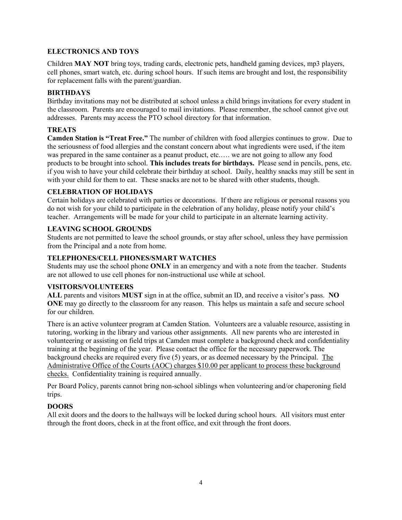# **ELECTRONICS AND TOYS**

Children **MAY NOT** bring toys, trading cards, electronic pets, handheld gaming devices, mp3 players, cell phones, smart watch, etc. during school hours. If such items are brought and lost, the responsibility for replacement falls with the parent/guardian.

#### **BIRTHDAYS**

Birthday invitations may not be distributed at school unless a child brings invitations for every student in the classroom. Parents are encouraged to mail invitations. Please remember, the school cannot give out addresses. Parents may access the PTO school directory for that information.

# **TREATS**

**Camden Station is "Treat Free."** The number of children with food allergies continues to grow. Due to the seriousness of food allergies and the constant concern about what ingredients were used, if the item was prepared in the same container as a peanut product, etc.…. we are not going to allow any food products to be brought into school. **This includes treats for birthdays.** Please send in pencils, pens, etc. if you wish to have your child celebrate their birthday at school. Daily, healthy snacks may still be sent in with your child for them to eat. These snacks are not to be shared with other students, though.

# **CELEBRATION OF HOLIDAYS**

Certain holidays are celebrated with parties or decorations. If there are religious or personal reasons you do not wish for your child to participate in the celebration of any holiday, please notify your child's teacher. Arrangements will be made for your child to participate in an alternate learning activity.

# **LEAVING SCHOOL GROUNDS**

Students are not permitted to leave the school grounds, or stay after school, unless they have permission from the Principal and a note from home.

# **TELEPHONES/CELL PHONES/SMART WATCHES**

Students may use the school phone **ONLY** in an emergency and with a note from the teacher. Students are not allowed to use cell phones for non-instructional use while at school.

# **VISITORS/VOLUNTEERS**

**ALL** parents and visitors **MUST** sign in at the office, submit an ID, and receive a visitor's pass. **NO ONE** may go directly to the classroom for any reason. This helps us maintain a safe and secure school for our children.

There is an active volunteer program at Camden Station. Volunteers are a valuable resource, assisting in tutoring, working in the library and various other assignments. All new parents who are interested in volunteering or assisting on field trips at Camden must complete a background check and confidentiality training at the beginning of the year. Please contact the office for the necessary paperwork. The background checks are required every five (5) years, or as deemed necessary by the Principal. The Administrative Office of the Courts (AOC) charges \$10.00 per applicant to process these background checks. Confidentiality training is required annually.

Per Board Policy, parents cannot bring non-school siblings when volunteering and/or chaperoning field trips.

# **DOORS**

All exit doors and the doors to the hallways will be locked during school hours. All visitors must enter through the front doors, check in at the front office, and exit through the front doors.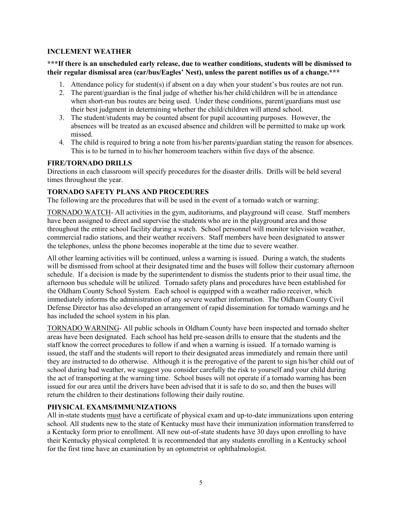# **INCLEMENT WEATHER**

# **\*\*\*If there is an unscheduled early release, due to weather conditions, students will be dismissed to**  their regular dismissal area (car/bus/Eagles' Nest), unless the parent notifies us of a change.\*\*\*

- 1. Attendance policy for student(s) if absent on a day when your student's bus routes are not run.
- 2. The parent/guardian is the final judge of whether his/her child/children will be in attendance when short-run bus routes are being used. Under these conditions, parent/guardians must use their best judgment in determining whether the child/children will attend school.
- 3. The student/students may be counted absent for pupil accounting purposes. However, the absences will be treated as an excused absence and children will be permitted to make up work missed.
- 4. The child is required to bring a note from his/her parents/guardian stating the reason for absences. This is to be turned in to his/her homeroom teachers within five days of the absence.

# **FIRE/TORNADO DRILLS**

Directions in each classroom will specify procedures for the disaster drills. Drills will be held several times throughout the year.

# **TORNADO SAFETY PLANS AND PROCEDURES**

The following are the procedures that will be used in the event of a tornado watch or warning:

TORNADO WATCH- All activities in the gym, auditoriums, and playground will cease. Staff members have been assigned to direct and supervise the students who are in the playground area and those throughout the entire school facility during a watch. School personnel will monitor television weather, commercial radio stations, and their weather receivers. Staff members have been designated to answer the telephones, unless the phone becomes inoperable at the time due to severe weather.

All other learning activities will be continued, unless a warning is issued. During a watch, the students will be dismissed from school at their designated time and the buses will follow their customary afternoon schedule. If a decision is made by the superintendent to dismiss the students prior to their usual time, the afternoon bus schedule will be utilized. Tornado safety plans and procedures have been established for the Oldham County School System. Each school is equipped with a weather radio receiver, which immediately informs the administration of any severe weather information. The Oldham County Civil Defense Director has also developed an arrangement of rapid dissemination for tornado warnings and he has included the school system in his plan.

TORNADO WARNING- All public schools in Oldham County have been inspected and tornado shelter areas have been designated. Each school has held pre-season drills to ensure that the students and the staff know the correct procedures to follow if and when a warning is issued. If a tornado warning is issued, the staff and the students will report to their designated areas immediately and remain there until they are instructed to do otherwise. Although it is the prerogative of the parent to sign his/her child out of school during bad weather, we suggest you consider carefully the risk to yourself and your child during the act of transporting at the warning time. School buses will not operate if a tornado warning has been issued for our area until the drivers have been advised that it is safe to do so, and then the buses will return the children to their destinations following their daily routine.

# **PHYSICAL EXAMS/IMMUNIZATIONS**

All in-state students must have a certificate of physical exam and up-to-date immunizations upon entering school. All students new to the state of Kentucky must have their immunization information transferred to a Kentucky form prior to enrollment. All new out-of-state students have 30 days upon enrolling to have their Kentucky physical completed. It is recommended that any students enrolling in a Kentucky school for the first time have an examination by an optometrist or ophthalmologist.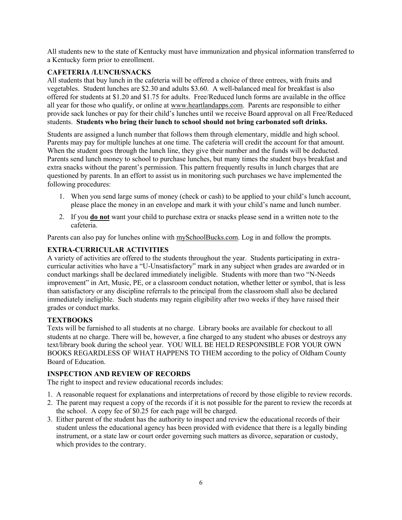All students new to the state of Kentucky must have immunization and physical information transferred to a Kentucky form prior to enrollment.

# **CAFETERIA /LUNCH/SNACKS**

All students that buy lunch in the cafeteria will be offered a choice of three entrees, with fruits and vegetables. Student lunches are \$2.30 and adults \$3.60. A well-balanced meal for breakfast is also offered for students at \$1.20 and \$1.75 for adults. Free/Reduced lunch forms are available in the office all year for those who qualify, or online at www.heartlandapps.com. Parents are responsible to either provide sack lunches or pay for their child's lunches until we receive Board approval on all Free/Reduced students. **Students who bring their lunch to school should not bring carbonated soft drinks.**

Students are assigned a lunch number that follows them through elementary, middle and high school. Parents may pay for multiple lunches at one time. The cafeteria will credit the account for that amount. When the student goes through the lunch line, they give their number and the funds will be deducted. Parents send lunch money to school to purchase lunches, but many times the student buys breakfast and extra snacks without the parent's permission. This pattern frequently results in lunch charges that are questioned by parents. In an effort to assist us in monitoring such purchases we have implemented the following procedures:

- 1. When you send large sums of money (check or cash) to be applied to your child's lunch account, please place the money in an envelope and mark it with your child's name and lunch number.
- 2. If you **do not** want your child to purchase extra or snacks please send in a written note to the cafeteria.

Parents can also pay for lunches online with mySchoolBucks.com. Log in and follow the prompts.

# **EXTRA-CURRICULAR ACTIVITIES**

A variety of activities are offered to the students throughout the year. Students participating in extracurricular activities who have a "U-Unsatisfactory" mark in any subject when grades are awarded or in conduct markings shall be declared immediately ineligible. Students with more than two "N-Needs improvement" in Art, Music, PE, or a classroom conduct notation, whether letter or symbol, that is less than satisfactory or any discipline referrals to the principal from the classroom shall also be declared immediately ineligible. Such students may regain eligibility after two weeks if they have raised their grades or conduct marks.

# **TEXTBOOKS**

Texts will be furnished to all students at no charge. Library books are available for checkout to all students at no charge. There will be, however, a fine charged to any student who abuses or destroys any text/library book during the school year. YOU WILL BE HELD RESPONSIBLE FOR YOUR OWN BOOKS REGARDLESS OF WHAT HAPPENS TO THEM according to the policy of Oldham County Board of Education.

# **INSPECTION AND REVIEW OF RECORDS**

The right to inspect and review educational records includes:

- 1. A reasonable request for explanations and interpretations of record by those eligible to review records.
- 2. The parent may request a copy of the records if it is not possible for the parent to review the records at the school. A copy fee of \$0.25 for each page will be charged.
- 3. Either parent of the student has the authority to inspect and review the educational records of their student unless the educational agency has been provided with evidence that there is a legally binding instrument, or a state law or court order governing such matters as divorce, separation or custody, which provides to the contrary.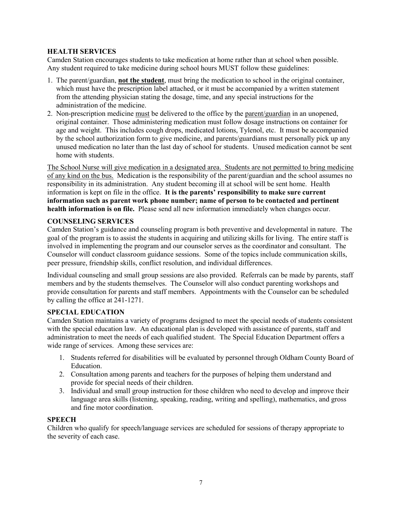# **HEALTH SERVICES**

Camden Station encourages students to take medication at home rather than at school when possible. Any student required to take medicine during school hours MUST follow these guidelines:

- 1. The parent/guardian, **not the student**, must bring the medication to school in the original container, which must have the prescription label attached, or it must be accompanied by a written statement from the attending physician stating the dosage, time, and any special instructions for the administration of the medicine.
- 2. Non-prescription medicine must be delivered to the office by the parent/guardian in an unopened, original container. Those administering medication must follow dosage instructions on container for age and weight. This includes cough drops, medicated lotions, Tylenol, etc. It must be accompanied by the school authorization form to give medicine, and parents/guardians must personally pick up any unused medication no later than the last day of school for students. Unused medication cannot be sent home with students.

The School Nurse will give medication in a designated area. Students are not permitted to bring medicine of any kind on the bus. Medication is the responsibility of the parent/guardian and the school assumes no responsibility in its administration. Any student becoming ill at school will be sent home. Health information is kept on file in the office. **It is the parents' responsibility to make sure current information such as parent work phone number; name of person to be contacted and pertinent health information is on file.** Please send all new information immediately when changes occur.

# **COUNSELING SERVICES**

Camden Station's guidance and counseling program is both preventive and developmental in nature. The goal of the program is to assist the students in acquiring and utilizing skills for living. The entire staff is involved in implementing the program and our counselor serves as the coordinator and consultant. The Counselor will conduct classroom guidance sessions. Some of the topics include communication skills, peer pressure, friendship skills, conflict resolution, and individual differences.

Individual counseling and small group sessions are also provided. Referrals can be made by parents, staff members and by the students themselves. The Counselor will also conduct parenting workshops and provide consultation for parents and staff members. Appointments with the Counselor can be scheduled by calling the office at 241-1271.

# **SPECIAL EDUCATION**

Camden Station maintains a variety of programs designed to meet the special needs of students consistent with the special education law. An educational plan is developed with assistance of parents, staff and administration to meet the needs of each qualified student. The Special Education Department offers a wide range of services. Among these services are:

- 1. Students referred for disabilities will be evaluated by personnel through Oldham County Board of Education.
- 2. Consultation among parents and teachers for the purposes of helping them understand and provide for special needs of their children.
- 3. Individual and small group instruction for those children who need to develop and improve their language area skills (listening, speaking, reading, writing and spelling), mathematics, and gross and fine motor coordination.

# **SPEECH**

Children who qualify for speech/language services are scheduled for sessions of therapy appropriate to the severity of each case.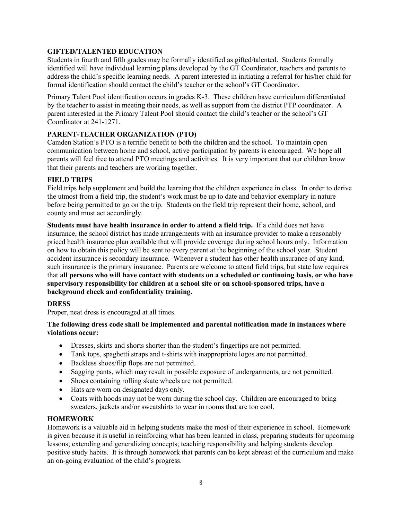# **GIFTED/TALENTED EDUCATION**

Students in fourth and fifth grades may be formally identified as gifted/talented. Students formally identified will have individual learning plans developed by the GT Coordinator, teachers and parents to address the child's specific learning needs. A parent interested in initiating a referral for his/her child for formal identification should contact the child's teacher or the school's GT Coordinator.

Primary Talent Pool identification occurs in grades K-3. These children have curriculum differentiated by the teacher to assist in meeting their needs, as well as support from the district PTP coordinator. A parent interested in the Primary Talent Pool should contact the child's teacher or the school's GT Coordinator at 241-1271.

# **PARENT-TEACHER ORGANIZATION (PTO)**

Camden Station's PTO is a terrific benefit to both the children and the school. To maintain open communication between home and school, active participation by parents is encouraged. We hope all parents will feel free to attend PTO meetings and activities. It is very important that our children know that their parents and teachers are working together.

# **FIELD TRIPS**

Field trips help supplement and build the learning that the children experience in class. In order to derive the utmost from a field trip, the student's work must be up to date and behavior exemplary in nature before being permitted to go on the trip. Students on the field trip represent their home, school, and county and must act accordingly.

**Students must have health insurance in order to attend a field trip.** If a child does not have insurance, the school district has made arrangements with an insurance provider to make a reasonably priced health insurance plan available that will provide coverage during school hours only. Information on how to obtain this policy will be sent to every parent at the beginning of the school year. Student accident insurance is secondary insurance. Whenever a student has other health insurance of any kind, such insurance is the primary insurance. Parents are welcome to attend field trips, but state law requires that **all persons who will have contact with students on a scheduled or continuing basis, or who have supervisory responsibility for children at a school site or on school-sponsored trips, have a background check and confidentiality training.**

# **DRESS**

Proper, neat dress is encouraged at all times.

# **The following dress code shall be implemented and parental notification made in instances where violations occur:**

- Dresses, skirts and shorts shorter than the student's fingertips are not permitted.
- Tank tops, spaghetti straps and t-shirts with inappropriate logos are not permitted.
- Backless shoes/flip flops are not permitted.
- Sagging pants, which may result in possible exposure of undergarments, are not permitted.
- Shoes containing rolling skate wheels are not permitted.
- Hats are worn on designated days only.
- Coats with hoods may not be worn during the school day. Children are encouraged to bring sweaters, jackets and/or sweatshirts to wear in rooms that are too cool.

#### **HOMEWORK**

Homework is a valuable aid in helping students make the most of their experience in school. Homework is given because it is useful in reinforcing what has been learned in class, preparing students for upcoming lessons; extending and generalizing concepts; teaching responsibility and helping students develop positive study habits. It is through homework that parents can be kept abreast of the curriculum and make an on-going evaluation of the child's progress.